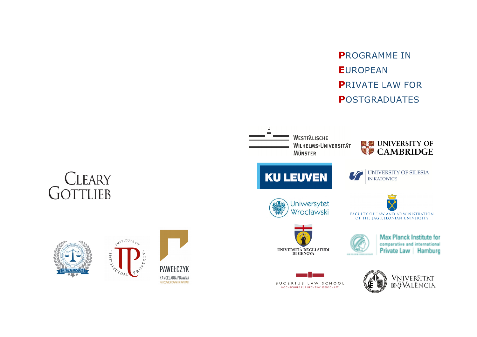**PROGRAMME IN EUROPEAN PRIVATE LAW FOR POSTGRADUATES**